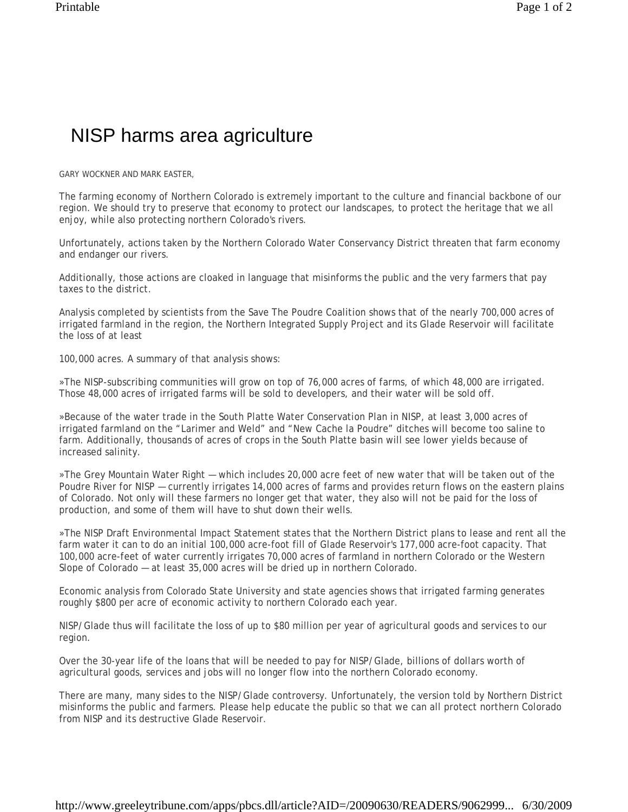## NISP harms area agriculture

GARY WOCKNER AND MARK EASTER,

The farming economy of Northern Colorado is extremely important to the culture and financial backbone of our region. We should try to preserve that economy to protect our landscapes, to protect the heritage that we all enjoy, while also protecting northern Colorado's rivers.

Unfortunately, actions taken by the Northern Colorado Water Conservancy District threaten that farm economy and endanger our rivers.

Additionally, those actions are cloaked in language that misinforms the public and the very farmers that pay taxes to the district.

Analysis completed by scientists from the Save The Poudre Coalition shows that of the nearly 700,000 acres of irrigated farmland in the region, the Northern Integrated Supply Project and its Glade Reservoir will facilitate the loss of at least

100,000 acres. A summary of that analysis shows:

»The NISP-subscribing communities will grow on top of 76,000 acres of farms, of which 48,000 are irrigated. Those 48,000 acres of irrigated farms will be sold to developers, and their water will be sold off.

»Because of the water trade in the South Platte Water Conservation Plan in NISP, at least 3,000 acres of irrigated farmland on the "Larimer and Weld" and "New Cache la Poudre" ditches will become too saline to farm. Additionally, thousands of acres of crops in the South Platte basin will see lower yields because of increased salinity.

»The Grey Mountain Water Right — which includes 20,000 acre feet of new water that will be taken out of the Poudre River for NISP — currently irrigates 14,000 acres of farms and provides return flows on the eastern plains of Colorado. Not only will these farmers no longer get that water, they also will not be paid for the loss of production, and some of them will have to shut down their wells.

»The NISP Draft Environmental Impact Statement states that the Northern District plans to lease and rent all the farm water it can to do an initial 100,000 acre-foot fill of Glade Reservoir's 177,000 acre-foot capacity. That 100,000 acre-feet of water currently irrigates 70,000 acres of farmland in northern Colorado or the Western Slope of Colorado — at least 35,000 acres will be dried up in northern Colorado.

Economic analysis from Colorado State University and state agencies shows that irrigated farming generates roughly \$800 per acre of economic activity to northern Colorado each year.

NISP/Glade thus will facilitate the loss of up to \$80 million per year of agricultural goods and services to our region.

Over the 30-year life of the loans that will be needed to pay for NISP/Glade, billions of dollars worth of agricultural goods, services and jobs will no longer flow into the northern Colorado economy.

There are many, many sides to the NISP/Glade controversy. Unfortunately, the version told by Northern District misinforms the public and farmers. Please help educate the public so that we can all protect northern Colorado from NISP and its destructive Glade Reservoir.